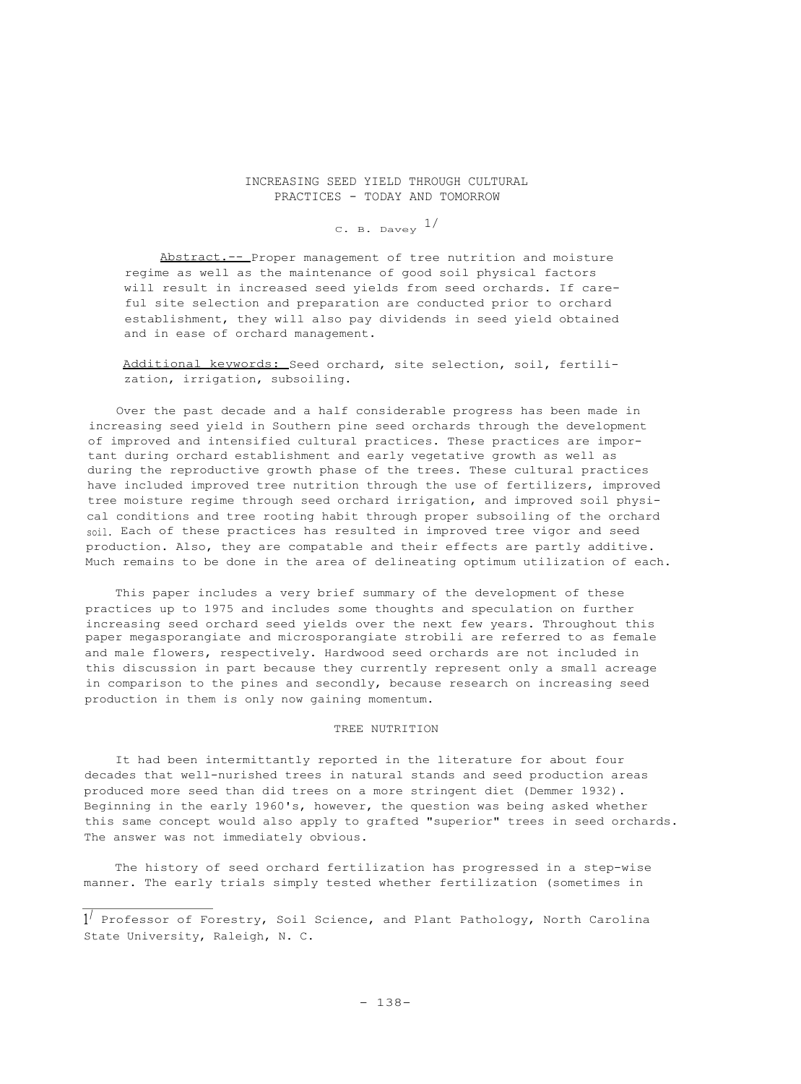# INCREASING SEED YIELD THROUGH CULTURAL PRACTICES - TODAY AND TOMORROW

C. B. Davey  $1/$ 

Abstract. -- Proper management of tree nutrition and moisture regime as well as the maintenance of good soil physical factors will result in increased seed yields from seed orchards. If careful site selection and preparation are conducted prior to orchard establishment, they will also pay dividends in seed yield obtained and in ease of orchard management.

Additional keywords: Seed orchard, site selection, soil, fertilization, irrigation, subsoiling.

Over the past decade and a half considerable progress has been made in increasing seed yield in Southern pine seed orchards through the development of improved and intensified cultural practices. These practices are important during orchard establishment and early vegetative growth as well as during the reproductive growth phase of the trees. These cultural practices have included improved tree nutrition through the use of fertilizers, improved tree moisture regime through seed orchard irrigation, and improved soil physical conditions and tree rooting habit through proper subsoiling of the orchard soil. Each of these practices has resulted in improved tree vigor and seed production. Also, they are compatable and their effects are partly additive. Much remains to be done in the area of delineating optimum utilization of each.

This paper includes a very brief summary of the development of these practices up to 1975 and includes some thoughts and speculation on further increasing seed orchard seed yields over the next few years. Throughout this paper megasporangiate and microsporangiate strobili are referred to as female and male flowers, respectively. Hardwood seed orchards are not included in this discussion in part because they currently represent only a small acreage in comparison to the pines and secondly, because research on increasing seed production in them is only now gaining momentum.

### TREE NUTRITION

It had been intermittantly reported in the literature for about four decades that well-nurished trees in natural stands and seed production areas produced more seed than did trees on a more stringent diet (Demmer 1932). Beginning in the early 1960's, however, the question was being asked whether this same concept would also apply to grafted "superior" trees in seed orchards. The answer was not immediately obvious.

The history of seed orchard fertilization has progressed in a step-wise manner. The early trials simply tested whether fertilization (sometimes in

<sup>1</sup> / Professor of Forestry, Soil Science, and Plant Pathology, North Carolina State University, Raleigh, N. C.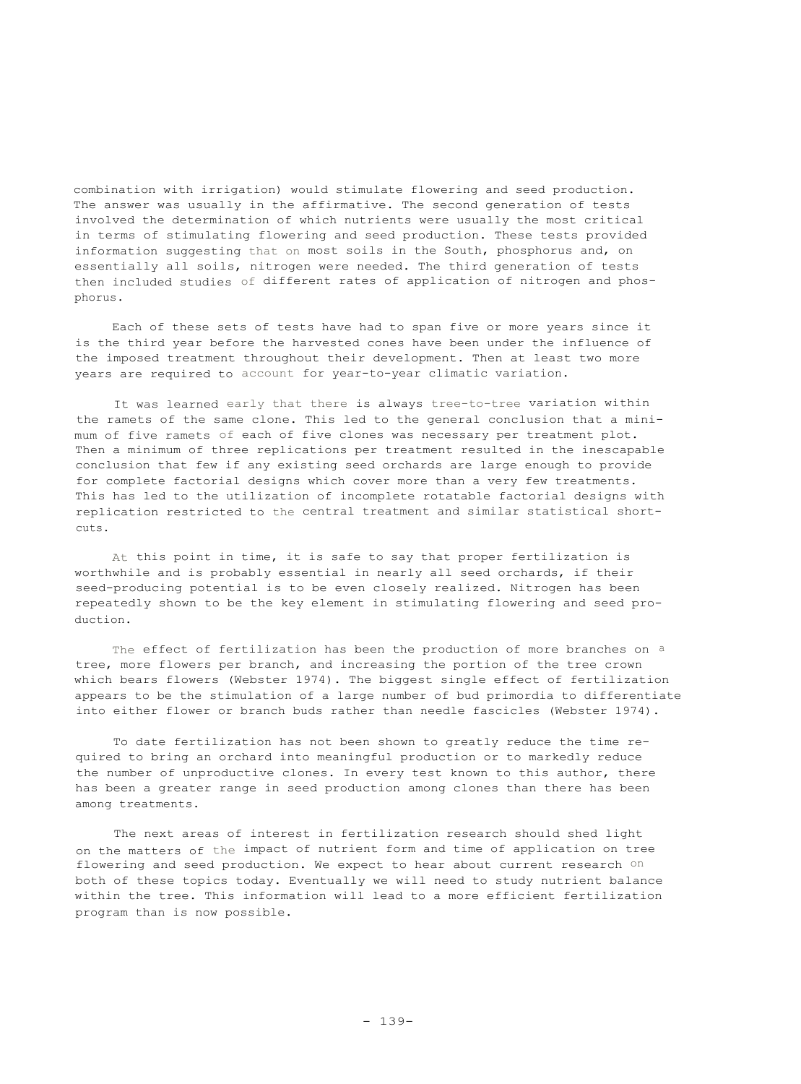combination with irrigation) would stimulate flowering and seed production. The answer was usually in the affirmative. The second generation of tests involved the determination of which nutrients were usually the most critical in terms of stimulating flowering and seed production. These tests provided information suggesting that on most soils in the South, phosphorus and, on essentially all soils, nitrogen were needed. The third generation of tests then included studies of different rates of application of nitrogen and phosphorus.

Each of these sets of tests have had to span five or more years since it is the third year before the harvested cones have been under the influence of the imposed treatment throughout their development. Then at least two more years are required to account for year-to-year climatic variation.

It was learned early that there is always tree-to-tree variation within the ramets of the same clone. This led to the general conclusion that a minimum of five ramets of each of five clones was necessary per treatment plot. Then a minimum of three replications per treatment resulted in the inescapable conclusion that few if any existing seed orchards are large enough to provide for complete factorial designs which cover more than a very few treatments. This has led to the utilization of incomplete rotatable factorial designs with replication restricted to the central treatment and similar statistical shortcuts.

At this point in time, it is safe to say that proper fertilization is worthwhile and is probably essential in nearly all seed orchards, if their seed-producing potential is to be even closely realized. Nitrogen has been repeatedly shown to be the key element in stimulating flowering and seed production.

The effect of fertilization has been the production of more branches on a tree, more flowers per branch, and increasing the portion of the tree crown which bears flowers (Webster 1974). The biggest single effect of fertilization appears to be the stimulation of a large number of bud primordia to differentiate into either flower or branch buds rather than needle fascicles (Webster 1974).

To date fertilization has not been shown to greatly reduce the time required to bring an orchard into meaningful production or to markedly reduce the number of unproductive clones. In every test known to this author, there has been a greater range in seed production among clones than there has been among treatments.

The next areas of interest in fertilization research should shed light on the matters of the impact of nutrient form and time of application on tree flowering and seed production. We expect to hear about current research on both of these topics today. Eventually we will need to study nutrient balance within the tree. This information will lead to a more efficient fertilization program than is now possible.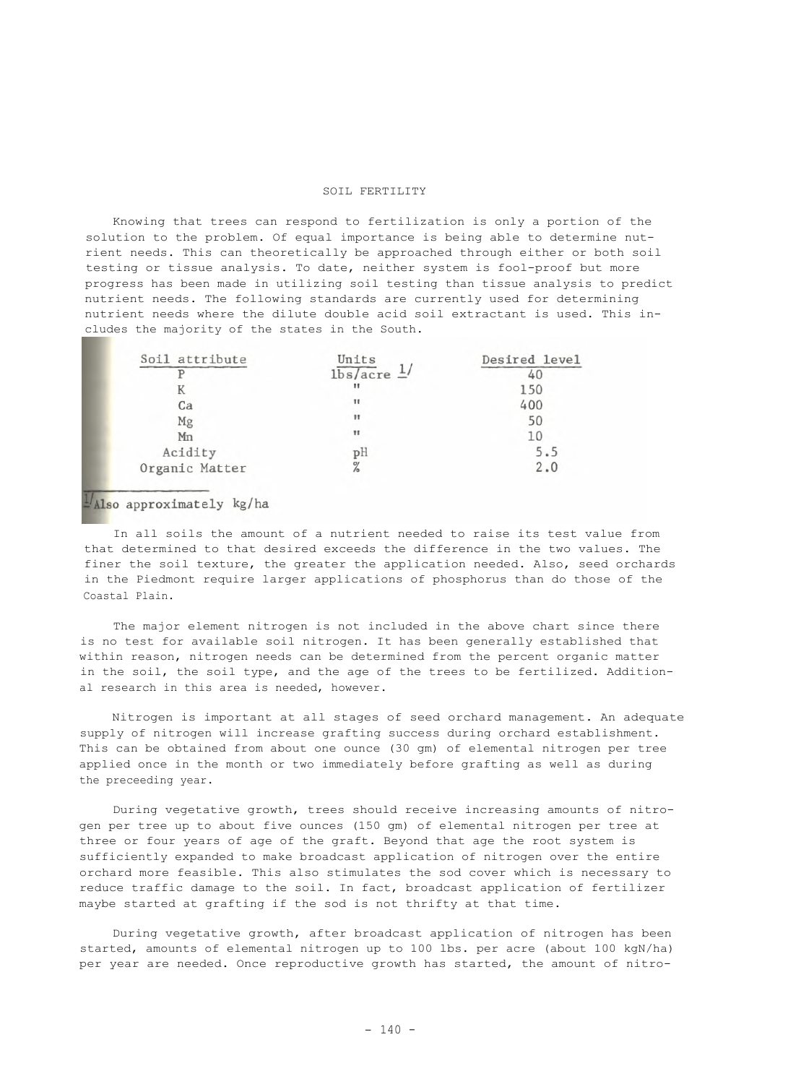## SOIL FERTILITY

Knowing that trees can respond to fertilization is only a portion of the solution to the problem. Of equal importance is being able to determine nutrient needs. This can theoretically be approached through either or both soil testing or tissue analysis. To date, neither system is fool-proof but more progress has been made in utilizing soil testing than tissue analysis to predict nutrient needs. The following standards are currently used for determining nutrient needs where the dilute double acid soil extractant is used. This includes the majority of the states in the South.

| Soil attribute | Units                                      | Desired level |
|----------------|--------------------------------------------|---------------|
| D              | $1\overline{\text{bs/acre}}$ $\frac{1}{4}$ | 40            |
|                | 11                                         | 150           |
| Ca             | $^{\dagger}$                               | 400           |
| Mg             | $^{\prime}$                                | 50            |
| Mn             | $^{\dagger}$                               | 10            |
| Acidity        | pH                                         | 5.5           |
| Organic Matter | $\sigma$                                   | 2.0           |

Also approximately kg/ha

In all soils the amount of a nutrient needed to raise its test value from that determined to that desired exceeds the difference in the two values. The finer the soil texture, the greater the application needed. Also, seed orchards in the Piedmont require larger applications of phosphorus than do those of the Coastal Plain.

The major element nitrogen is not included in the above chart since there is no test for available soil nitrogen. It has been generally established that within reason, nitrogen needs can be determined from the percent organic matter in the soil, the soil type, and the age of the trees to be fertilized. Additional research in this area is needed, however.

Nitrogen is important at all stages of seed orchard management. An adequate supply of nitrogen will increase grafting success during orchard establishment. This can be obtained from about one ounce (30 gm) of elemental nitrogen per tree applied once in the month or two immediately before grafting as well as during the preceeding year.

During vegetative growth, trees should receive increasing amounts of nitrogen per tree up to about five ounces (150 gm) of elemental nitrogen per tree at three or four years of age of the graft. Beyond that age the root system is sufficiently expanded to make broadcast application of nitrogen over the entire orchard more feasible. This also stimulates the sod cover which is necessary to reduce traffic damage to the soil. In fact, broadcast application of fertilizer maybe started at grafting if the sod is not thrifty at that time.

During vegetative growth, after broadcast application of nitrogen has been started, amounts of elemental nitrogen up to 100 lbs. per acre (about 100 kgN/ha) per year are needed. Once reproductive growth has started, the amount of nitro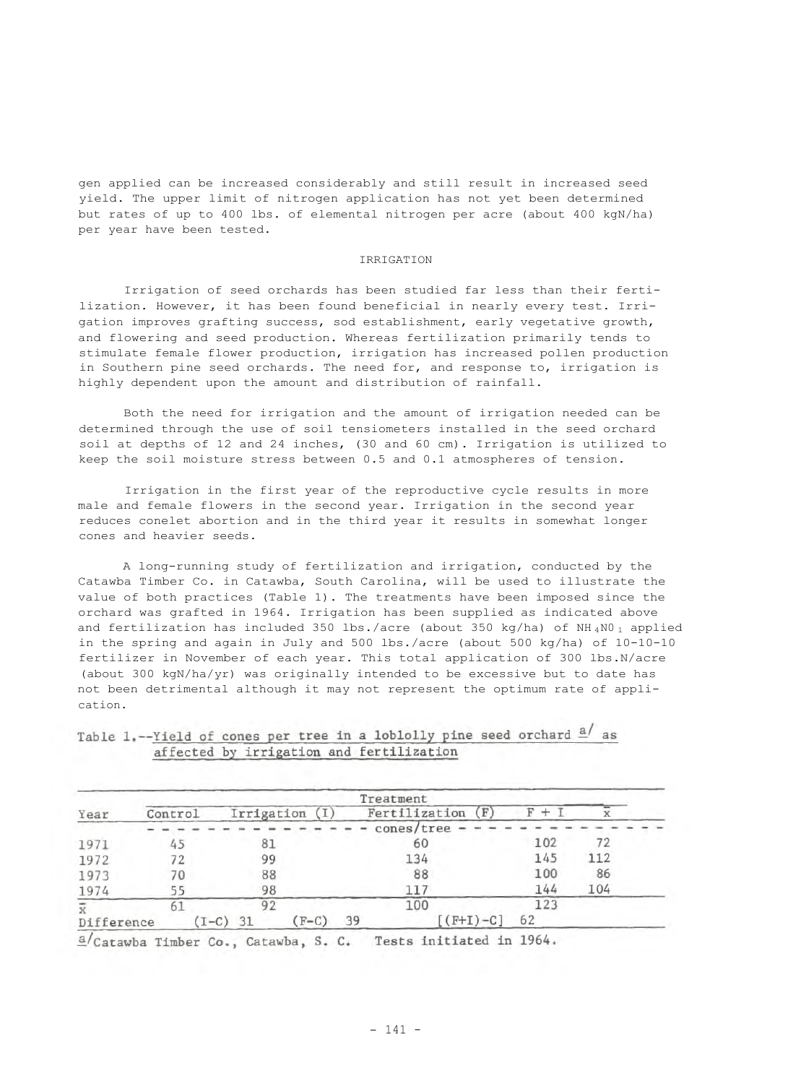gen applied can be increased considerably and still result in increased seed yield. The upper limit of nitrogen application has not yet been determined but rates of up to 400 lbs. of elemental nitrogen per acre (about 400 kgN/ha) per year have been tested.

# IRRIGATION

Irrigation of seed orchards has been studied far less than their fertilization. However, it has been found beneficial in nearly every test. Irrigation improves grafting success, sod establishment, early vegetative growth, and flowering and seed production. Whereas fertilization primarily tends to stimulate female flower production, irrigation has increased pollen production in Southern pine seed orchards. The need for, and response to, irrigation is highly dependent upon the amount and distribution of rainfall.

Both the need for irrigation and the amount of irrigation needed can be determined through the use of soil tensiometers installed in the seed orchard soil at depths of 12 and 24 inches, (30 and 60 cm). Irrigation is utilized to keep the soil moisture stress between 0.5 and 0.1 atmospheres of tension.

Irrigation in the first year of the reproductive cycle results in more male and female flowers in the second year. Irrigation in the second year reduces conelet abortion and in the third year it results in somewhat longer cones and heavier seeds.

A long-running study of fertilization and irrigation, conducted by the Catawba Timber Co. in Catawba, South Carolina, will be used to illustrate the value of both practices (Table 1). The treatments have been imposed since the orchard was grafted in 1964. Irrigation has been supplied as indicated above and fertilization has included 350 lbs./acre (about 350 kg/ha) of  $NH_4NO_1$  applied in the spring and again in July and 500 lbs./acre (about 500 kg/ha) of 10-10-10 fertilizer in November of each year. This total application of 300 lbs.N/acre (about 300 kgN/ha/yr) was originally intended to be excessive but to date has not been detrimental although it may not represent the optimum rate of application.

|             | Treatment |              |         |               |              |     |     |  |  |  |  |
|-------------|-----------|--------------|---------|---------------|--------------|-----|-----|--|--|--|--|
| Year        | Control   | Irrigation   |         | Fertilization |              |     |     |  |  |  |  |
|             |           |              |         | cones/tree    |              |     |     |  |  |  |  |
| 1971        | 45        | 81           |         | 60            |              | 102 | 72  |  |  |  |  |
| 1972        | 72        | 99           |         | 134           |              | 145 | 112 |  |  |  |  |
| 1973        | 70        | 88           |         | 88            |              | 100 | 86  |  |  |  |  |
| 1974        | 55        | 98           |         | 117           |              | 144 | 104 |  |  |  |  |
| $\mathbf x$ | 61        | 92           |         | 100           |              | 123 |     |  |  |  |  |
| Difference  |           | 31<br>$(-C)$ | $(F-C)$ | 39            | $[$ (F+I)-C) | 62  |     |  |  |  |  |

# Table 1.--Yield of cones per tree in a loblolly pine seed orchard a/ as affected by irrigation and fertilization

a/Catawba Timber Co., Catawba, S. C. Tests initiated in 1964.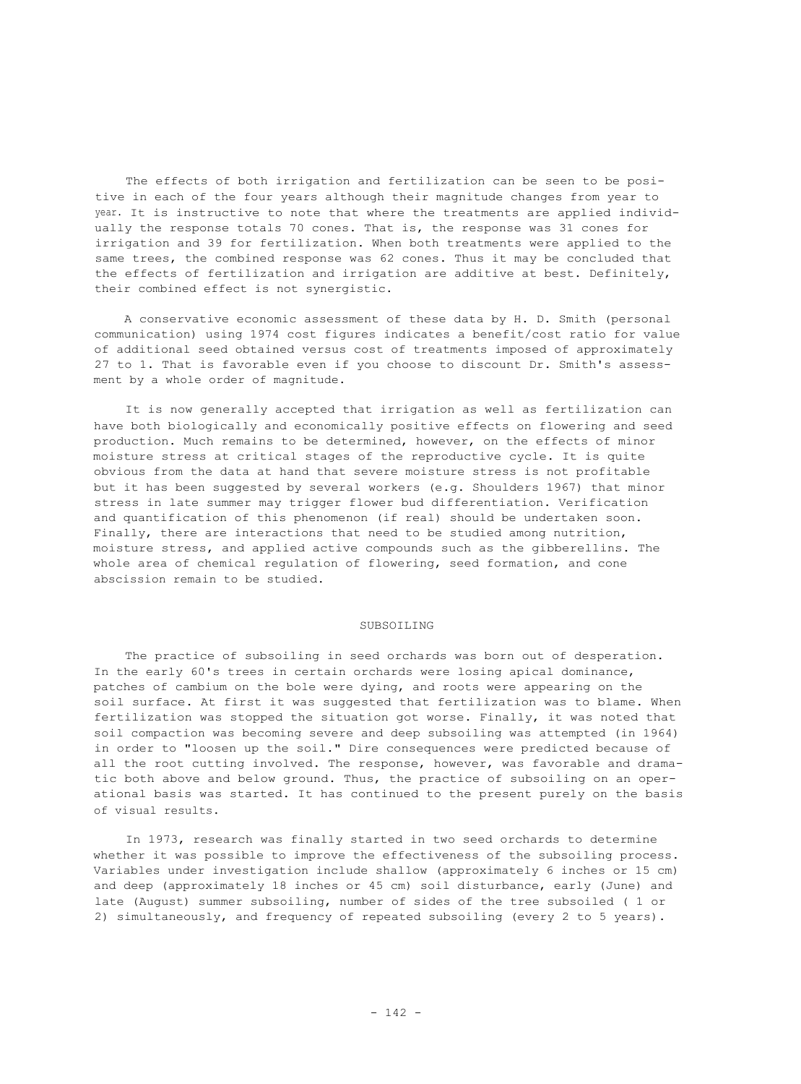The effects of both irrigation and fertilization can be seen to be positive in each of the four years although their magnitude changes from year to year. It is instructive to note that where the treatments are applied individually the response totals 70 cones. That is, the response was 31 cones for irrigation and 39 for fertilization. When both treatments were applied to the same trees, the combined response was 62 cones. Thus it may be concluded that the effects of fertilization and irrigation are additive at best. Definitely, their combined effect is not synergistic.

A conservative economic assessment of these data by H. D. Smith (personal communication) using 1974 cost figures indicates a benefit/cost ratio for value of additional seed obtained versus cost of treatments imposed of approximately 27 to 1. That is favorable even if you choose to discount Dr. Smith's assessment by a whole order of magnitude.

It is now generally accepted that irrigation as well as fertilization can have both biologically and economically positive effects on flowering and seed production. Much remains to be determined, however, on the effects of minor moisture stress at critical stages of the reproductive cycle. It is quite obvious from the data at hand that severe moisture stress is not profitable but it has been suggested by several workers (e.g. Shoulders 1967) that minor stress in late summer may trigger flower bud differentiation. Verification and quantification of this phenomenon (if real) should be undertaken soon. Finally, there are interactions that need to be studied among nutrition, moisture stress, and applied active compounds such as the gibberellins. The whole area of chemical regulation of flowering, seed formation, and cone abscission remain to be studied.

#### SUBSOILING

The practice of subsoiling in seed orchards was born out of desperation. In the early 60's trees in certain orchards were losing apical dominance, patches of cambium on the bole were dying, and roots were appearing on the soil surface. At first it was suggested that fertilization was to blame. When fertilization was stopped the situation got worse. Finally, it was noted that soil compaction was becoming severe and deep subsoiling was attempted (in 1964) in order to "loosen up the soil." Dire consequences were predicted because of all the root cutting involved. The response, however, was favorable and dramatic both above and below ground. Thus, the practice of subsoiling on an operational basis was started. It has continued to the present purely on the basis of visual results.

In 1973, research was finally started in two seed orchards to determine whether it was possible to improve the effectiveness of the subsoiling process. Variables under investigation include shallow (approximately 6 inches or 15 cm) and deep (approximately 18 inches or 45 cm) soil disturbance, early (June) and late (August) summer subsoiling, number of sides of the tree subsoiled ( 1 or 2) simultaneously, and frequency of repeated subsoiling (every 2 to 5 years).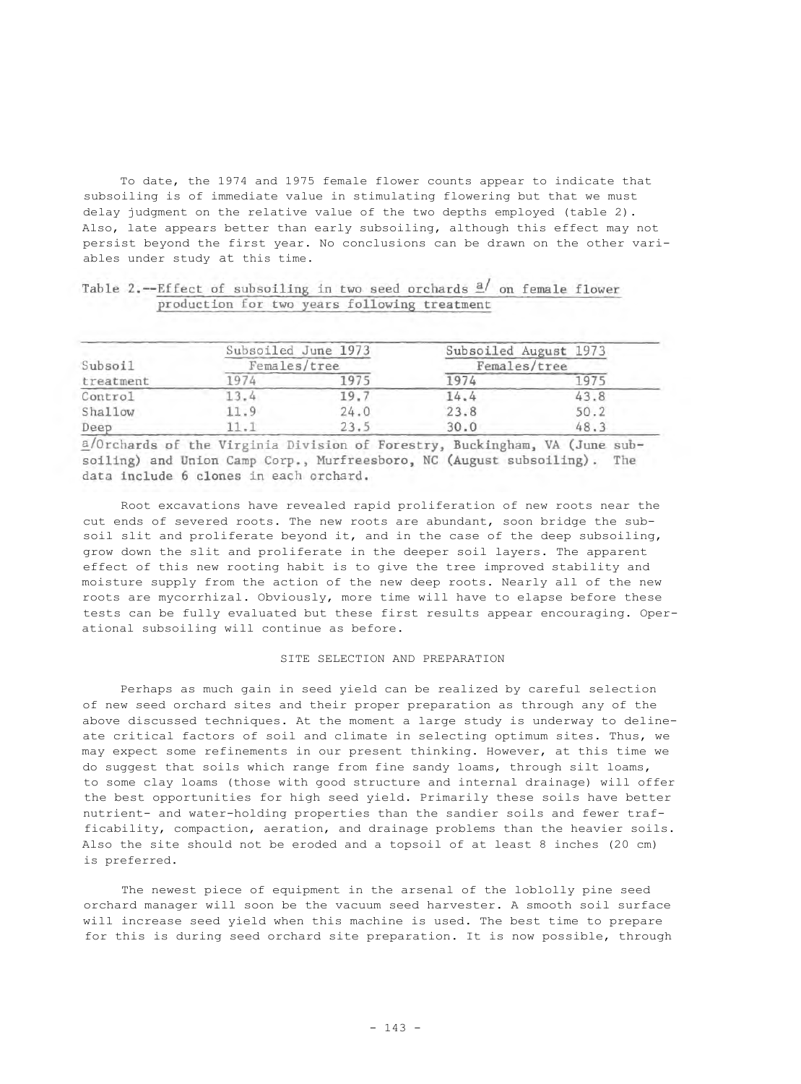To date, the 1974 and 1975 female flower counts appear to indicate that subsoiling is of immediate value in stimulating flowering but that we must delay judgment on the relative value of the two depths employed (table 2). Also, late appears better than early subsoiling, although this effect may not persist beyond the first year. No conclusions can be drawn on the other variables under study at this time.

| Table 2.--Effect of subsoiling in two seed orchards $\frac{a}{2}$ on female flower |  |  |  |  |  |  |
|------------------------------------------------------------------------------------|--|--|--|--|--|--|
| production for two years following treatment                                       |  |  |  |  |  |  |

| Subsoil<br>treatment |              | Subsoiled June 1973 | Subsoiled August 1973 |      |  |  |  |
|----------------------|--------------|---------------------|-----------------------|------|--|--|--|
|                      | Females/tree |                     | Females/tree          |      |  |  |  |
|                      | 974          | 1975                | 1974                  |      |  |  |  |
| Control              | 3.4          | 19.                 | 14.4                  | 43.8 |  |  |  |
| Shallow              | 1.9          | 24.0                | 23.8                  | 50.2 |  |  |  |
| Deep                 |              | 23.5                | 30.0                  | 48.7 |  |  |  |

a/Orchards of the Virginia Division of Forestry, Buckingham, VA (June subsoiling) and Union Camp Corp., Murfreesboro, NC (August subsoiling). The data include 6 clones in each orchard.

Root excavations have revealed rapid proliferation of new roots near the cut ends of severed roots. The new roots are abundant, soon bridge the subsoil slit and proliferate beyond it, and in the case of the deep subsoiling, grow down the slit and proliferate in the deeper soil layers. The apparent effect of this new rooting habit is to give the tree improved stability and moisture supply from the action of the new deep roots. Nearly all of the new roots are mycorrhizal. Obviously, more time will have to elapse before these tests can be fully evaluated but these first results appear encouraging. Operational subsoiling will continue as before.

## SITE SELECTION AND PREPARATION

Perhaps as much gain in seed yield can be realized by careful selection of new seed orchard sites and their proper preparation as through any of the above discussed techniques. At the moment a large study is underway to delineate critical factors of soil and climate in selecting optimum sites. Thus, we may expect some refinements in our present thinking. However, at this time we do suggest that soils which range from fine sandy loams, through silt loams, to some clay loams (those with good structure and internal drainage) will offer the best opportunities for high seed yield. Primarily these soils have better nutrient- and water-holding properties than the sandier soils and fewer trafficability, compaction, aeration, and drainage problems than the heavier soils. Also the site should not be eroded and a topsoil of at least 8 inches (20 cm) is preferred.

The newest piece of equipment in the arsenal of the loblolly pine seed orchard manager will soon be the vacuum seed harvester. A smooth soil surface will increase seed yield when this machine is used. The best time to prepare for this is during seed orchard site preparation. It is now possible, through